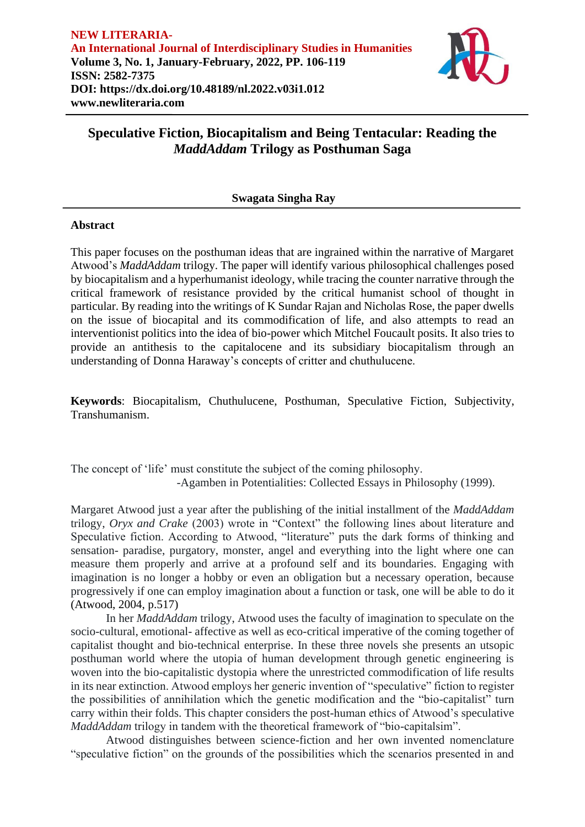

# **Speculative Fiction, Biocapitalism and Being Tentacular: Reading the**  *MaddAddam* **Trilogy as Posthuman Saga**

## **Swagata Singha Ray**

### **Abstract**

This paper focuses on the posthuman ideas that are ingrained within the narrative of Margaret Atwood's *MaddAddam* trilogy. The paper will identify various philosophical challenges posed by biocapitalism and a hyperhumanist ideology, while tracing the counter narrative through the critical framework of resistance provided by the critical humanist school of thought in particular. By reading into the writings of K Sundar Rajan and Nicholas Rose, the paper dwells on the issue of biocapital and its commodification of life, and also attempts to read an interventionist politics into the idea of bio-power which Mitchel Foucault posits. It also tries to provide an antithesis to the capitalocene and its subsidiary biocapitalism through an understanding of Donna Haraway's concepts of critter and chuthulucene.

**Keywords**: Biocapitalism, Chuthulucene, Posthuman, Speculative Fiction, Subjectivity, Transhumanism.

The concept of 'life' must constitute the subject of the coming philosophy. -Agamben in Potentialities: Collected Essays in Philosophy (1999).

Margaret Atwood just a year after the publishing of the initial installment of the *MaddAddam* trilogy, *Oryx and Crake* (2003) wrote in "Context" the following lines about literature and Speculative fiction. According to Atwood, "literature" puts the dark forms of thinking and sensation- paradise, purgatory, monster, angel and everything into the light where one can measure them properly and arrive at a profound self and its boundaries. Engaging with imagination is no longer a hobby or even an obligation but a necessary operation, because progressively if one can employ imagination about a function or task, one will be able to do it (Atwood, 2004, p.517)

In her *MaddAddam* trilogy, Atwood uses the faculty of imagination to speculate on the socio-cultural, emotional- affective as well as eco-critical imperative of the coming together of capitalist thought and bio-technical enterprise. In these three novels she presents an utsopic posthuman world where the utopia of human development through genetic engineering is woven into the bio-capitalistic dystopia where the unrestricted commodification of life results in its near extinction. Atwood employs her generic invention of "speculative" fiction to register the possibilities of annihilation which the genetic modification and the "bio-capitalist" turn carry within their folds. This chapter considers the post-human ethics of Atwood's speculative *MaddAddam* trilogy in tandem with the theoretical framework of "bio-capitalsim".

Atwood distinguishes between science-fiction and her own invented nomenclature "speculative fiction" on the grounds of the possibilities which the scenarios presented in and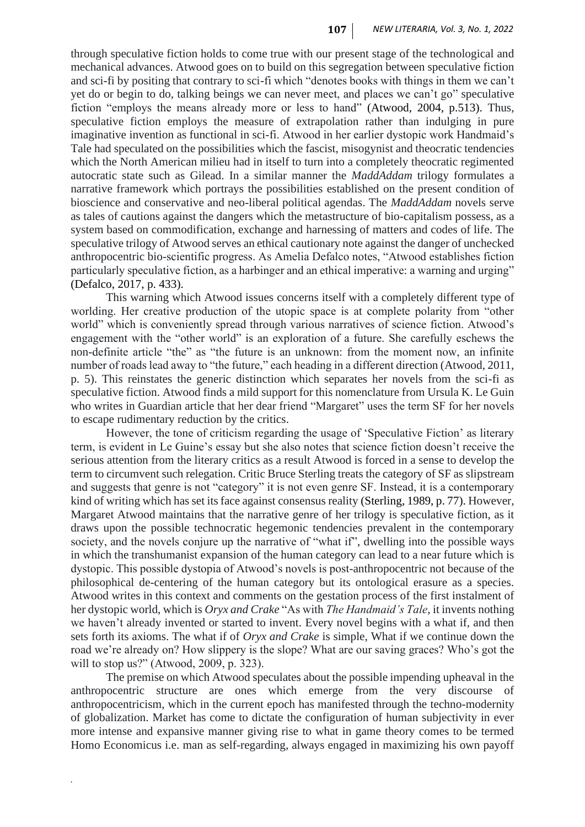through speculative fiction holds to come true with our present stage of the technological and mechanical advances. Atwood goes on to build on this segregation between speculative fiction and sci-fi by positing that contrary to sci-fi which "denotes books with things in them we can't yet do or begin to do, talking beings we can never meet, and places we can't go" speculative fiction "employs the means already more or less to hand" (Atwood, 2004, p.513). Thus, speculative fiction employs the measure of extrapolation rather than indulging in pure imaginative invention as functional in sci-fi. Atwood in her earlier dystopic work Handmaid's Tale had speculated on the possibilities which the fascist, misogynist and theocratic tendencies which the North American milieu had in itself to turn into a completely theocratic regimented autocratic state such as Gilead. In a similar manner the *MaddAddam* trilogy formulates a narrative framework which portrays the possibilities established on the present condition of bioscience and conservative and neo-liberal political agendas. The *MaddAddam* novels serve as tales of cautions against the dangers which the metastructure of bio-capitalism possess, as a system based on commodification, exchange and harnessing of matters and codes of life. The speculative trilogy of Atwood serves an ethical cautionary note against the danger of unchecked anthropocentric bio-scientific progress. As Amelia Defalco notes, "Atwood establishes fiction particularly speculative fiction, as a harbinger and an ethical imperative: a warning and urging" (Defalco, 2017, p. 433).

This warning which Atwood issues concerns itself with a completely different type of worlding. Her creative production of the utopic space is at complete polarity from "other world" which is conveniently spread through various narratives of science fiction. Atwood's engagement with the "other world" is an exploration of a future. She carefully eschews the non-definite article "the" as "the future is an unknown: from the moment now, an infinite number of roads lead away to "the future," each heading in a different direction (Atwood, 2011, p. 5). This reinstates the generic distinction which separates her novels from the sci-fi as speculative fiction. Atwood finds a mild support for this nomenclature from Ursula K. Le Guin who writes in Guardian article that her dear friend "Margaret" uses the term SF for her novels to escape rudimentary reduction by the critics.

However, the tone of criticism regarding the usage of 'Speculative Fiction' as literary term, is evident in Le Guine's essay but she also notes that science fiction doesn't receive the serious attention from the literary critics as a result Atwood is forced in a sense to develop the term to circumvent such relegation. Critic Bruce Sterling treats the category of SF as slipstream and suggests that genre is not "category" it is not even genre SF. Instead, it is a contemporary kind of writing which has set its face against consensus reality (Sterling, 1989, p. 77). However, Margaret Atwood maintains that the narrative genre of her trilogy is speculative fiction, as it draws upon the possible technocratic hegemonic tendencies prevalent in the contemporary society, and the novels conjure up the narrative of "what if", dwelling into the possible ways in which the transhumanist expansion of the human category can lead to a near future which is dystopic. This possible dystopia of Atwood's novels is post-anthropocentric not because of the philosophical de-centering of the human category but its ontological erasure as a species. Atwood writes in this context and comments on the gestation process of the first instalment of her dystopic world, which is *Oryx and Crake* "As with *The Handmaid's Tale*, it invents nothing we haven't already invented or started to invent. Every novel begins with a what if, and then sets forth its axioms. The what if of *Oryx and Crake* is simple, What if we continue down the road we're already on? How slippery is the slope? What are our saving graces? Who's got the will to stop us?" (Atwood, 2009, p. 323).

The premise on which Atwood speculates about the possible impending upheaval in the anthropocentric structure are ones which emerge from the very discourse of anthropocentricism, which in the current epoch has manifested through the techno-modernity of globalization. Market has come to dictate the configuration of human subjectivity in ever more intense and expansive manner giving rise to what in game theory comes to be termed Homo Economicus i.e. man as self-regarding, always engaged in maximizing his own payoff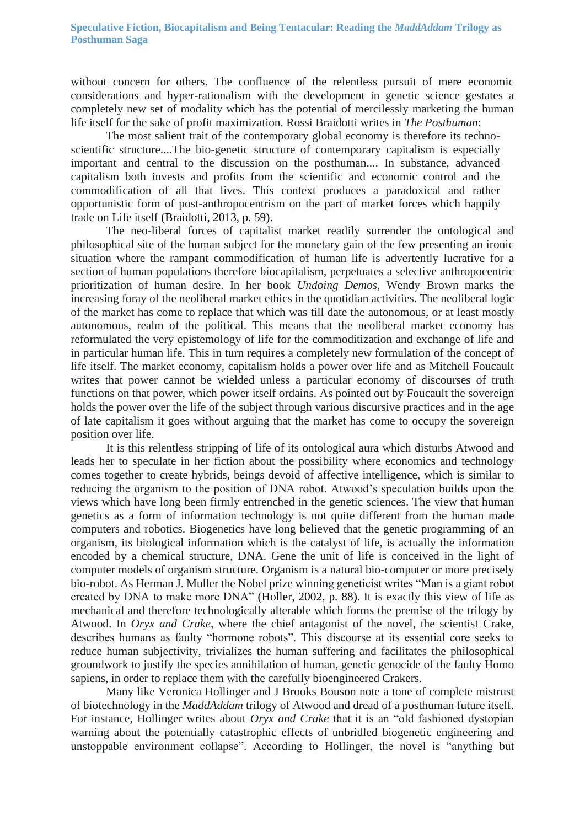without concern for others. The confluence of the relentless pursuit of mere economic considerations and hyper-rationalism with the development in genetic science gestates a completely new set of modality which has the potential of mercilessly marketing the human life itself for the sake of profit maximization. Rossi Braidotti writes in *The Posthuman*:

The most salient trait of the contemporary global economy is therefore its technoscientific structure....The bio-genetic structure of contemporary capitalism is especially important and central to the discussion on the posthuman.... In substance, advanced capitalism both invests and profits from the scientific and economic control and the commodification of all that lives. This context produces a paradoxical and rather opportunistic form of post-anthropocentrism on the part of market forces which happily trade on Life itself (Braidotti, 2013, p. 59).

The neo-liberal forces of capitalist market readily surrender the ontological and philosophical site of the human subject for the monetary gain of the few presenting an ironic situation where the rampant commodification of human life is advertently lucrative for a section of human populations therefore biocapitalism, perpetuates a selective anthropocentric prioritization of human desire. In her book *Undoing Demos*, Wendy Brown marks the increasing foray of the neoliberal market ethics in the quotidian activities. The neoliberal logic of the market has come to replace that which was till date the autonomous, or at least mostly autonomous, realm of the political. This means that the neoliberal market economy has reformulated the very epistemology of life for the commoditization and exchange of life and in particular human life. This in turn requires a completely new formulation of the concept of life itself. The market economy, capitalism holds a power over life and as Mitchell Foucault writes that power cannot be wielded unless a particular economy of discourses of truth functions on that power, which power itself ordains. As pointed out by Foucault the sovereign holds the power over the life of the subject through various discursive practices and in the age of late capitalism it goes without arguing that the market has come to occupy the sovereign position over life.

It is this relentless stripping of life of its ontological aura which disturbs Atwood and leads her to speculate in her fiction about the possibility where economics and technology comes together to create hybrids, beings devoid of affective intelligence, which is similar to reducing the organism to the position of DNA robot. Atwood's speculation builds upon the views which have long been firmly entrenched in the genetic sciences. The view that human genetics as a form of information technology is not quite different from the human made computers and robotics. Biogenetics have long believed that the genetic programming of an organism, its biological information which is the catalyst of life, is actually the information encoded by a chemical structure, DNA. Gene the unit of life is conceived in the light of computer models of organism structure. Organism is a natural bio-computer or more precisely bio-robot. As Herman J. Muller the Nobel prize winning geneticist writes "Man is a giant robot created by DNA to make more DNA" (Holler, 2002, p. 88). It is exactly this view of life as mechanical and therefore technologically alterable which forms the premise of the trilogy by Atwood. In *Oryx and Crake*, where the chief antagonist of the novel, the scientist Crake, describes humans as faulty "hormone robots". This discourse at its essential core seeks to reduce human subjectivity, trivializes the human suffering and facilitates the philosophical groundwork to justify the species annihilation of human, genetic genocide of the faulty Homo sapiens, in order to replace them with the carefully bioengineered Crakers.

Many like Veronica Hollinger and J Brooks Bouson note a tone of complete mistrust of biotechnology in the *MaddAddam* trilogy of Atwood and dread of a posthuman future itself. For instance, Hollinger writes about *Oryx and Crake* that it is an "old fashioned dystopian warning about the potentially catastrophic effects of unbridled biogenetic engineering and unstoppable environment collapse". According to Hollinger, the novel is "anything but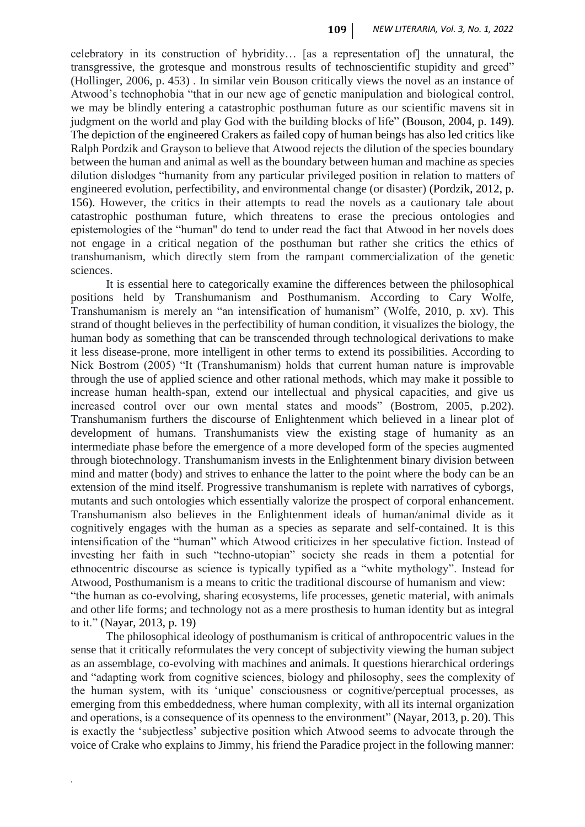celebratory in its construction of hybridity… [as a representation of] the unnatural, the transgressive, the grotesque and monstrous results of technoscientific stupidity and greed" (Hollinger, 2006, p. 453) . In similar vein Bouson critically views the novel as an instance of Atwood's technophobia "that in our new age of genetic manipulation and biological control, we may be blindly entering a catastrophic posthuman future as our scientific mavens sit in judgment on the world and play God with the building blocks of life" (Bouson, 2004, p. 149). The depiction of the engineered Crakers as failed copy of human beings has also led critics like Ralph Pordzik and Grayson to believe that Atwood rejects the dilution of the species boundary between the human and animal as well as the boundary between human and machine as species dilution dislodges "humanity from any particular privileged position in relation to matters of engineered evolution, perfectibility, and environmental change (or disaster) (Pordzik, 2012, p. 156). However, the critics in their attempts to read the novels as a cautionary tale about catastrophic posthuman future, which threatens to erase the precious ontologies and epistemologies of the "human'' do tend to under read the fact that Atwood in her novels does not engage in a critical negation of the posthuman but rather she critics the ethics of transhumanism, which directly stem from the rampant commercialization of the genetic sciences.

It is essential here to categorically examine the differences between the philosophical positions held by Transhumanism and Posthumanism. According to Cary Wolfe, Transhumanism is merely an "an intensification of humanism" (Wolfe, 2010, p. xv). This strand of thought believes in the perfectibility of human condition, it visualizes the biology, the human body as something that can be transcended through technological derivations to make it less disease-prone, more intelligent in other terms to extend its possibilities. According to Nick Bostrom (2005) "It (Transhumanism) holds that current human nature is improvable through the use of applied science and other rational methods, which may make it possible to increase human health-span, extend our intellectual and physical capacities, and give us increased control over our own mental states and moods" (Bostrom, 2005, p.202). Transhumanism furthers the discourse of Enlightenment which believed in a linear plot of development of humans. Transhumanists view the existing stage of humanity as an intermediate phase before the emergence of a more developed form of the species augmented through biotechnology. Transhumanism invests in the Enlightenment binary division between mind and matter (body) and strives to enhance the latter to the point where the body can be an extension of the mind itself. Progressive transhumanism is replete with narratives of cyborgs, mutants and such ontologies which essentially valorize the prospect of corporal enhancement. Transhumanism also believes in the Enlightenment ideals of human/animal divide as it cognitively engages with the human as a species as separate and self-contained. It is this intensification of the "human" which Atwood criticizes in her speculative fiction. Instead of investing her faith in such "techno-utopian" society she reads in them a potential for ethnocentric discourse as science is typically typified as a "white mythology". Instead for Atwood, Posthumanism is a means to critic the traditional discourse of humanism and view: "the human as co-evolving, sharing ecosystems, life processes, genetic material, with animals and other life forms; and technology not as a mere prosthesis to human identity but as integral to it." (Nayar, 2013, p. 19)

The philosophical ideology of posthumanism is critical of anthropocentric values in the sense that it critically reformulates the very concept of subjectivity viewing the human subject as an assemblage, co-evolving with machines and animals. It questions hierarchical orderings and "adapting work from cognitive sciences, biology and philosophy, sees the complexity of the human system, with its 'unique' consciousness or cognitive/perceptual processes, as emerging from this embeddedness, where human complexity, with all its internal organization and operations, is a consequence of its openness to the environment" (Nayar, 2013, p. 20). This is exactly the 'subjectless' subjective position which Atwood seems to advocate through the voice of Crake who explains to Jimmy, his friend the Paradice project in the following manner: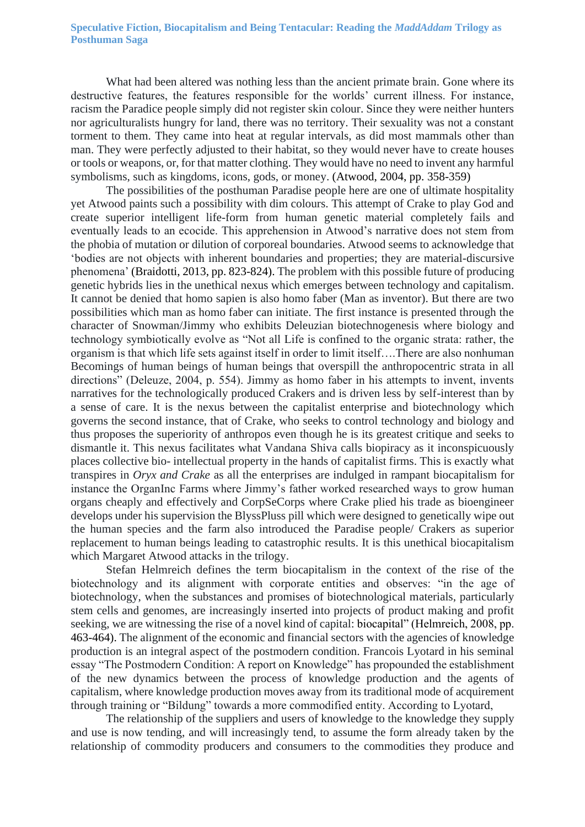What had been altered was nothing less than the ancient primate brain. Gone where its destructive features, the features responsible for the worlds' current illness. For instance, racism the Paradice people simply did not register skin colour. Since they were neither hunters nor agriculturalists hungry for land, there was no territory. Their sexuality was not a constant torment to them. They came into heat at regular intervals, as did most mammals other than man. They were perfectly adjusted to their habitat, so they would never have to create houses or tools or weapons, or, for that matter clothing. They would have no need to invent any harmful symbolisms, such as kingdoms, icons, gods, or money. (Atwood, 2004, pp. 358-359)

The possibilities of the posthuman Paradise people here are one of ultimate hospitality yet Atwood paints such a possibility with dim colours. This attempt of Crake to play God and create superior intelligent life-form from human genetic material completely fails and eventually leads to an ecocide. This apprehension in Atwood's narrative does not stem from the phobia of mutation or dilution of corporeal boundaries. Atwood seems to acknowledge that 'bodies are not objects with inherent boundaries and properties; they are material-discursive phenomena' (Braidotti, 2013, pp. 823-824). The problem with this possible future of producing genetic hybrids lies in the unethical nexus which emerges between technology and capitalism. It cannot be denied that homo sapien is also homo faber (Man as inventor). But there are two possibilities which man as homo faber can initiate. The first instance is presented through the character of Snowman/Jimmy who exhibits Deleuzian biotechnogenesis where biology and technology symbiotically evolve as "Not all Life is confined to the organic strata: rather, the organism is that which life sets against itself in order to limit itself….There are also nonhuman Becomings of human beings of human beings that overspill the anthropocentric strata in all directions" (Deleuze, 2004, p. 554). Jimmy as homo faber in his attempts to invent, invents narratives for the technologically produced Crakers and is driven less by self-interest than by a sense of care. It is the nexus between the capitalist enterprise and biotechnology which governs the second instance, that of Crake, who seeks to control technology and biology and thus proposes the superiority of anthropos even though he is its greatest critique and seeks to dismantle it. This nexus facilitates what Vandana Shiva calls biopiracy as it inconspicuously places collective bio- intellectual property in the hands of capitalist firms. This is exactly what transpires in *Oryx and Crake* as all the enterprises are indulged in rampant biocapitalism for instance the OrganInc Farms where Jimmy's father worked researched ways to grow human organs cheaply and effectively and CorpSeCorps where Crake plied his trade as bioengineer develops under his supervision the BlyssPluss pill which were designed to genetically wipe out the human species and the farm also introduced the Paradise people/ Crakers as superior replacement to human beings leading to catastrophic results. It is this unethical biocapitalism which Margaret Atwood attacks in the trilogy.

Stefan Helmreich defines the term biocapitalism in the context of the rise of the biotechnology and its alignment with corporate entities and observes: "in the age of biotechnology, when the substances and promises of biotechnological materials, particularly stem cells and genomes, are increasingly inserted into projects of product making and profit seeking, we are witnessing the rise of a novel kind of capital: biocapital" (Helmreich, 2008, pp. 463-464). The alignment of the economic and financial sectors with the agencies of knowledge production is an integral aspect of the postmodern condition. Francois Lyotard in his seminal essay "The Postmodern Condition: A report on Knowledge" has propounded the establishment of the new dynamics between the process of knowledge production and the agents of capitalism, where knowledge production moves away from its traditional mode of acquirement through training or "Bildung" towards a more commodified entity. According to Lyotard,

The relationship of the suppliers and users of knowledge to the knowledge they supply and use is now tending, and will increasingly tend, to assume the form already taken by the relationship of commodity producers and consumers to the commodities they produce and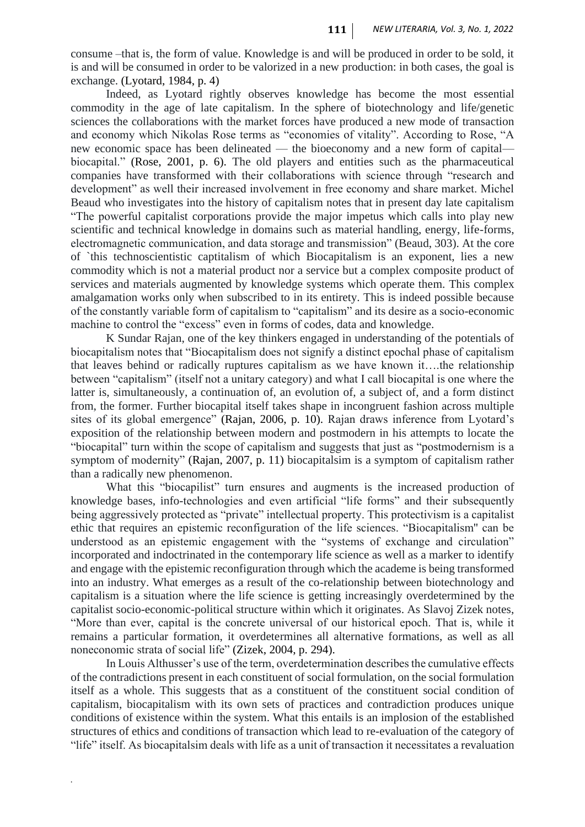consume –that is, the form of value. Knowledge is and will be produced in order to be sold, it is and will be consumed in order to be valorized in a new production: in both cases, the goal is exchange. (Lyotard, 1984, p. 4)

Indeed, as Lyotard rightly observes knowledge has become the most essential commodity in the age of late capitalism. In the sphere of biotechnology and life/genetic sciences the collaborations with the market forces have produced a new mode of transaction and economy which Nikolas Rose terms as "economies of vitality". According to Rose, "A new economic space has been delineated — the bioeconomy and a new form of capital biocapital." (Rose, 2001, p. 6). The old players and entities such as the pharmaceutical companies have transformed with their collaborations with science through "research and development" as well their increased involvement in free economy and share market. Michel Beaud who investigates into the history of capitalism notes that in present day late capitalism "The powerful capitalist corporations provide the major impetus which calls into play new scientific and technical knowledge in domains such as material handling, energy, life-forms, electromagnetic communication, and data storage and transmission" (Beaud, 303). At the core of `this technoscientistic captitalism of which Biocapitalism is an exponent, lies a new commodity which is not a material product nor a service but a complex composite product of services and materials augmented by knowledge systems which operate them. This complex amalgamation works only when subscribed to in its entirety. This is indeed possible because of the constantly variable form of capitalism to "capitalism" and its desire as a socio-economic machine to control the "excess" even in forms of codes, data and knowledge.

K Sundar Rajan, one of the key thinkers engaged in understanding of the potentials of biocapitalism notes that "Biocapitalism does not signify a distinct epochal phase of capitalism that leaves behind or radically ruptures capitalism as we have known it….the relationship between "capitalism" (itself not a unitary category) and what I call biocapital is one where the latter is, simultaneously, a continuation of, an evolution of, a subject of, and a form distinct from, the former. Further biocapital itself takes shape in incongruent fashion across multiple sites of its global emergence" (Rajan, 2006, p. 10). Rajan draws inference from Lyotard's exposition of the relationship between modern and postmodern in his attempts to locate the "biocapital" turn within the scope of capitalism and suggests that just as "postmodernism is a symptom of modernity" (Rajan, 2007, p. 11) biocapitalsim is a symptom of capitalism rather than a radically new phenomenon.

What this "biocapilist" turn ensures and augments is the increased production of knowledge bases, info-technologies and even artificial "life forms" and their subsequently being aggressively protected as "private" intellectual property. This protectivism is a capitalist ethic that requires an epistemic reconfiguration of the life sciences. "Biocapitalism'' can be understood as an epistemic engagement with the "systems of exchange and circulation" incorporated and indoctrinated in the contemporary life science as well as a marker to identify and engage with the epistemic reconfiguration through which the academe is being transformed into an industry. What emerges as a result of the co-relationship between biotechnology and capitalism is a situation where the life science is getting increasingly overdetermined by the capitalist socio-economic-political structure within which it originates. As Slavoj Zizek notes, "More than ever, capital is the concrete universal of our historical epoch. That is, while it remains a particular formation, it overdetermines all alternative formations, as well as all noneconomic strata of social life" (Zizek, 2004, p. 294).

In Louis Althusser's use of the term, overdetermination describes the cumulative effects of the contradictions present in each constituent of social formulation, on the social formulation itself as a whole. This suggests that as a constituent of the constituent social condition of capitalism, biocapitalism with its own sets of practices and contradiction produces unique conditions of existence within the system. What this entails is an implosion of the established structures of ethics and conditions of transaction which lead to re-evaluation of the category of "life" itself. As biocapitalsim deals with life as a unit of transaction it necessitates a revaluation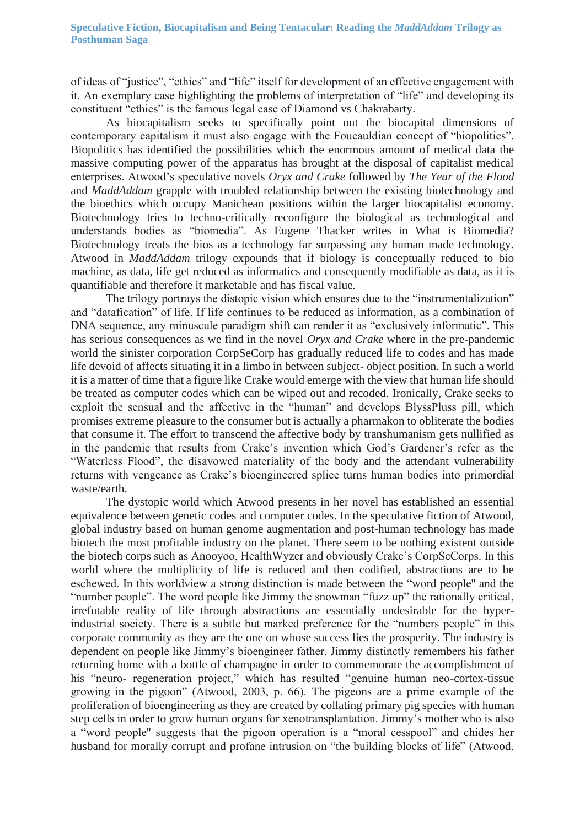of ideas of "justice", "ethics" and "life" itself for development of an effective engagement with it. An exemplary case highlighting the problems of interpretation of "life" and developing its constituent "ethics" is the famous legal case of Diamond vs Chakrabarty.

As biocapitalism seeks to specifically point out the biocapital dimensions of contemporary capitalism it must also engage with the Foucauldian concept of "biopolitics". Biopolitics has identified the possibilities which the enormous amount of medical data the massive computing power of the apparatus has brought at the disposal of capitalist medical enterprises. Atwood's speculative novels *Oryx and Crake* followed by *The Year of the Flood* and *MaddAddam* grapple with troubled relationship between the existing biotechnology and the bioethics which occupy Manichean positions within the larger biocapitalist economy. Biotechnology tries to techno-critically reconfigure the biological as technological and understands bodies as "biomedia". As Eugene Thacker writes in What is Biomedia? Biotechnology treats the bios as a technology far surpassing any human made technology. Atwood in *MaddAddam* trilogy expounds that if biology is conceptually reduced to bio machine, as data, life get reduced as informatics and consequently modifiable as data, as it is quantifiable and therefore it marketable and has fiscal value.

The trilogy portrays the distopic vision which ensures due to the "instrumentalization" and "datafication" of life. If life continues to be reduced as information, as a combination of DNA sequence, any minuscule paradigm shift can render it as "exclusively informatic". This has serious consequences as we find in the novel *Oryx and Crake* where in the pre-pandemic world the sinister corporation CorpSeCorp has gradually reduced life to codes and has made life devoid of affects situating it in a limbo in between subject- object position. In such a world it is a matter of time that a figure like Crake would emerge with the view that human life should be treated as computer codes which can be wiped out and recoded. Ironically, Crake seeks to exploit the sensual and the affective in the "human" and develops BlyssPluss pill, which promises extreme pleasure to the consumer but is actually a pharmakon to obliterate the bodies that consume it. The effort to transcend the affective body by transhumanism gets nullified as in the pandemic that results from Crake's invention which God's Gardener's refer as the "Waterless Flood", the disavowed materiality of the body and the attendant vulnerability returns with vengeance as Crake's bioengineered splice turns human bodies into primordial waste/earth.

The dystopic world which Atwood presents in her novel has established an essential equivalence between genetic codes and computer codes. In the speculative fiction of Atwood, global industry based on human genome augmentation and post-human technology has made biotech the most profitable industry on the planet. There seem to be nothing existent outside the biotech corps such as Anooyoo, HealthWyzer and obviously Crake's CorpSeCorps. In this world where the multiplicity of life is reduced and then codified, abstractions are to be eschewed. In this worldview a strong distinction is made between the "word people'' and the "number people". The word people like Jimmy the snowman "fuzz up" the rationally critical, irrefutable reality of life through abstractions are essentially undesirable for the hyperindustrial society. There is a subtle but marked preference for the "numbers people" in this corporate community as they are the one on whose success lies the prosperity. The industry is dependent on people like Jimmy's bioengineer father. Jimmy distinctly remembers his father returning home with a bottle of champagne in order to commemorate the accomplishment of his "neuro- regeneration project," which has resulted "genuine human neo-cortex-tissue growing in the pigoon" (Atwood, 2003, p. 66). The pigeons are a prime example of the proliferation of bioengineering as they are created by collating primary pig species with human step cells in order to grow human organs for xenotransplantation. Jimmy's mother who is also a "word people'' suggests that the pigoon operation is a "moral cesspool" and chides her husband for morally corrupt and profane intrusion on "the building blocks of life" (Atwood,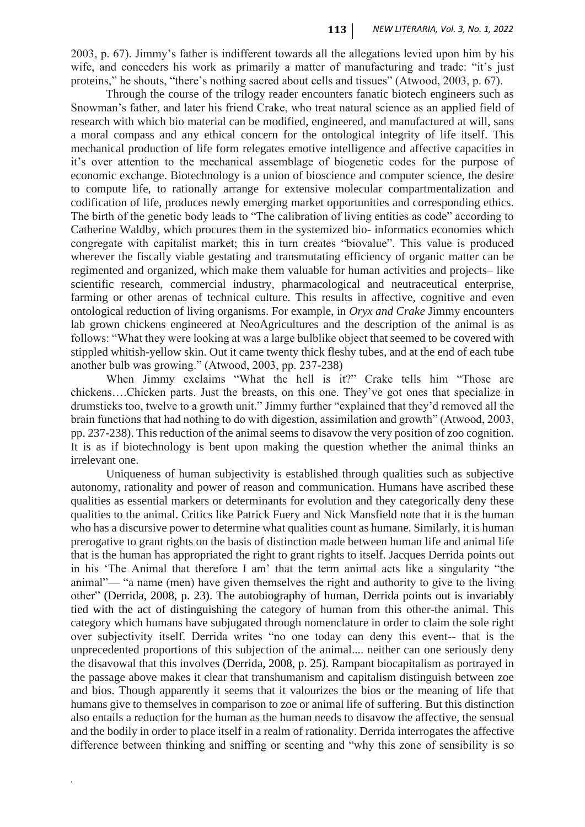2003, p. 67). Jimmy's father is indifferent towards all the allegations levied upon him by his wife, and conceders his work as primarily a matter of manufacturing and trade: "it's just proteins," he shouts, "there's nothing sacred about cells and tissues" (Atwood, 2003, p. 67).

Through the course of the trilogy reader encounters fanatic biotech engineers such as Snowman's father, and later his friend Crake, who treat natural science as an applied field of research with which bio material can be modified, engineered, and manufactured at will, sans a moral compass and any ethical concern for the ontological integrity of life itself. This mechanical production of life form relegates emotive intelligence and affective capacities in it's over attention to the mechanical assemblage of biogenetic codes for the purpose of economic exchange. Biotechnology is a union of bioscience and computer science, the desire to compute life, to rationally arrange for extensive molecular compartmentalization and codification of life, produces newly emerging market opportunities and corresponding ethics. The birth of the genetic body leads to "The calibration of living entities as code" according to Catherine Waldby, which procures them in the systemized bio- informatics economies which congregate with capitalist market; this in turn creates "biovalue". This value is produced wherever the fiscally viable gestating and transmutating efficiency of organic matter can be regimented and organized, which make them valuable for human activities and projects– like scientific research, commercial industry, pharmacological and neutraceutical enterprise, farming or other arenas of technical culture. This results in affective, cognitive and even ontological reduction of living organisms. For example, in *Oryx and Crake* Jimmy encounters lab grown chickens engineered at NeoAgricultures and the description of the animal is as follows: "What they were looking at was a large bulblike object that seemed to be covered with stippled whitish-yellow skin. Out it came twenty thick fleshy tubes, and at the end of each tube another bulb was growing." (Atwood, 2003, pp. 237-238)

When Jimmy exclaims "What the hell is it?" Crake tells him "Those are chickens….Chicken parts. Just the breasts, on this one. They've got ones that specialize in drumsticks too, twelve to a growth unit." Jimmy further "explained that they'd removed all the brain functions that had nothing to do with digestion, assimilation and growth" (Atwood, 2003, pp. 237-238). This reduction of the animal seems to disavow the very position of zoo cognition. It is as if biotechnology is bent upon making the question whether the animal thinks an irrelevant one.

Uniqueness of human subjectivity is established through qualities such as subjective autonomy, rationality and power of reason and communication. Humans have ascribed these qualities as essential markers or determinants for evolution and they categorically deny these qualities to the animal. Critics like Patrick Fuery and Nick Mansfield note that it is the human who has a discursive power to determine what qualities count as humane. Similarly, it is human prerogative to grant rights on the basis of distinction made between human life and animal life that is the human has appropriated the right to grant rights to itself. Jacques Derrida points out in his 'The Animal that therefore I am' that the term animal acts like a singularity "the animal"— "a name (men) have given themselves the right and authority to give to the living other" (Derrida, 2008, p. 23). The autobiography of human, Derrida points out is invariably tied with the act of distinguishing the category of human from this other-the animal. This category which humans have subjugated through nomenclature in order to claim the sole right over subjectivity itself. Derrida writes "no one today can deny this event-- that is the unprecedented proportions of this subjection of the animal.... neither can one seriously deny the disavowal that this involves (Derrida, 2008, p. 25). Rampant biocapitalism as portrayed in the passage above makes it clear that transhumanism and capitalism distinguish between zoe and bios. Though apparently it seems that it valourizes the bios or the meaning of life that humans give to themselves in comparison to zoe or animal life of suffering. But this distinction also entails a reduction for the human as the human needs to disavow the affective, the sensual and the bodily in order to place itself in a realm of rationality. Derrida interrogates the affective difference between thinking and sniffing or scenting and "why this zone of sensibility is so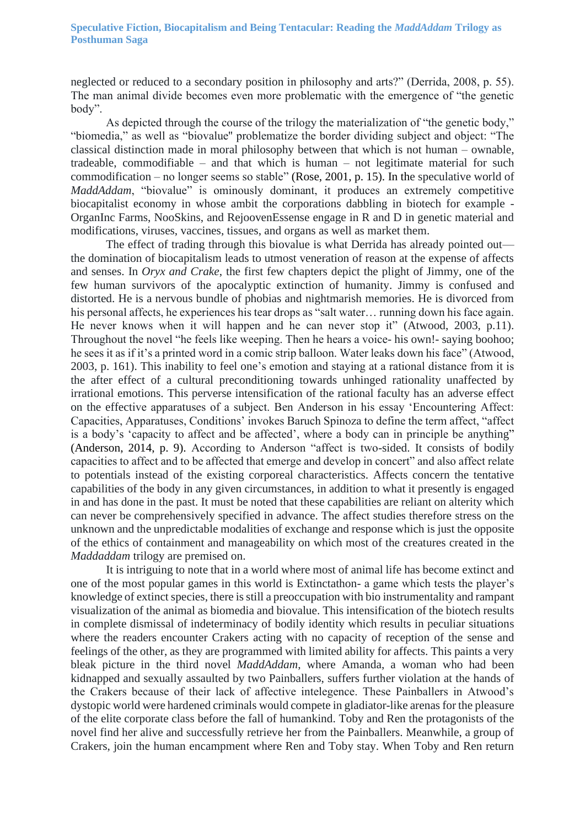neglected or reduced to a secondary position in philosophy and arts?" (Derrida, 2008, p. 55). The man animal divide becomes even more problematic with the emergence of "the genetic body".

As depicted through the course of the trilogy the materialization of "the genetic body," "biomedia," as well as "biovalue'' problematize the border dividing subject and object: "The classical distinction made in moral philosophy between that which is not human – ownable, tradeable, commodifiable – and that which is human – not legitimate material for such commodification – no longer seems so stable" (Rose, 2001, p. 15). In the speculative world of *MaddAddam*, "biovalue" is ominously dominant, it produces an extremely competitive biocapitalist economy in whose ambit the corporations dabbling in biotech for example - OrganInc Farms, NooSkins, and RejoovenEssense engage in R and D in genetic material and modifications, viruses, vaccines, tissues, and organs as well as market them.

The effect of trading through this biovalue is what Derrida has already pointed out the domination of biocapitalism leads to utmost veneration of reason at the expense of affects and senses. In *Oryx and Crake*, the first few chapters depict the plight of Jimmy, one of the few human survivors of the apocalyptic extinction of humanity. Jimmy is confused and distorted. He is a nervous bundle of phobias and nightmarish memories. He is divorced from his personal affects, he experiences his tear drops as "salt water... running down his face again. He never knows when it will happen and he can never stop it" (Atwood, 2003, p.11). Throughout the novel "he feels like weeping. Then he hears a voice- his own!- saying boohoo; he sees it as if it's a printed word in a comic strip balloon. Water leaks down his face" (Atwood, 2003, p. 161). This inability to feel one's emotion and staying at a rational distance from it is the after effect of a cultural preconditioning towards unhinged rationality unaffected by irrational emotions. This perverse intensification of the rational faculty has an adverse effect on the effective apparatuses of a subject. Ben Anderson in his essay 'Encountering Affect: Capacities, Apparatuses, Conditions' invokes Baruch Spinoza to define the term affect, "affect is a body's 'capacity to affect and be affected', where a body can in principle be anything" (Anderson, 2014, p. 9). According to Anderson "affect is two-sided. It consists of bodily capacities to affect and to be affected that emerge and develop in concert" and also affect relate to potentials instead of the existing corporeal characteristics. Affects concern the tentative capabilities of the body in any given circumstances, in addition to what it presently is engaged in and has done in the past. It must be noted that these capabilities are reliant on alterity which can never be comprehensively specified in advance. The affect studies therefore stress on the unknown and the unpredictable modalities of exchange and response which is just the opposite of the ethics of containment and manageability on which most of the creatures created in the *Maddaddam* trilogy are premised on.

It is intriguing to note that in a world where most of animal life has become extinct and one of the most popular games in this world is Extinctathon- a game which tests the player's knowledge of extinct species, there is still a preoccupation with bio instrumentality and rampant visualization of the animal as biomedia and biovalue. This intensification of the biotech results in complete dismissal of indeterminacy of bodily identity which results in peculiar situations where the readers encounter Crakers acting with no capacity of reception of the sense and feelings of the other, as they are programmed with limited ability for affects. This paints a very bleak picture in the third novel *MaddAddam*, where Amanda, a woman who had been kidnapped and sexually assaulted by two Painballers, suffers further violation at the hands of the Crakers because of their lack of affective intelegence. These Painballers in Atwood's dystopic world were hardened criminals would compete in gladiator-like arenas for the pleasure of the elite corporate class before the fall of humankind. Toby and Ren the protagonists of the novel find her alive and successfully retrieve her from the Painballers. Meanwhile, a group of Crakers, join the human encampment where Ren and Toby stay. When Toby and Ren return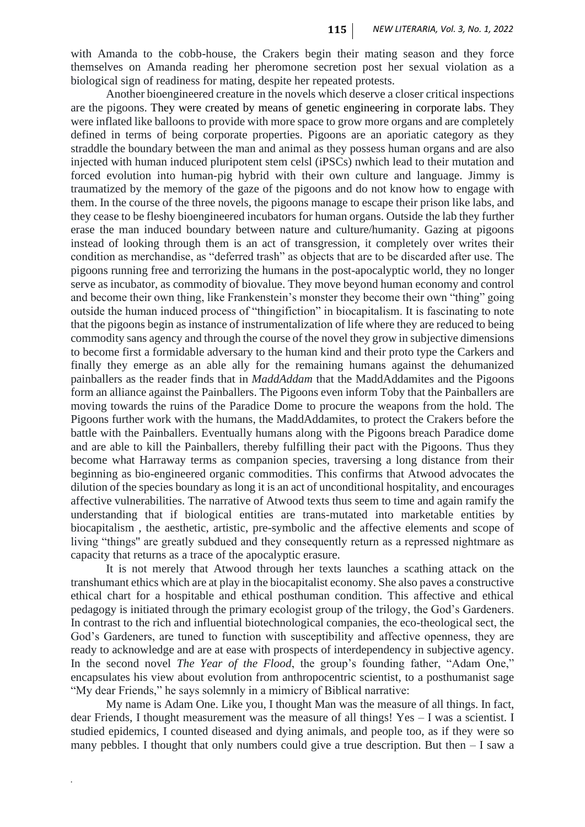with Amanda to the cobb-house, the Crakers begin their mating season and they force themselves on Amanda reading her pheromone secretion post her sexual violation as a biological sign of readiness for mating, despite her repeated protests.

Another bioengineered creature in the novels which deserve a closer critical inspections are the pigoons. They were created by means of genetic engineering in corporate labs. They were inflated like balloons to provide with more space to grow more organs and are completely defined in terms of being corporate properties. Pigoons are an aporiatic category as they straddle the boundary between the man and animal as they possess human organs and are also injected with human induced pluripotent stem celsl (iPSCs) nwhich lead to their mutation and forced evolution into human-pig hybrid with their own culture and language. Jimmy is traumatized by the memory of the gaze of the pigoons and do not know how to engage with them. In the course of the three novels, the pigoons manage to escape their prison like labs, and they cease to be fleshy bioengineered incubators for human organs. Outside the lab they further erase the man induced boundary between nature and culture/humanity. Gazing at pigoons instead of looking through them is an act of transgression, it completely over writes their condition as merchandise, as "deferred trash" as objects that are to be discarded after use. The pigoons running free and terrorizing the humans in the post-apocalyptic world, they no longer serve as incubator, as commodity of biovalue. They move beyond human economy and control and become their own thing, like Frankenstein's monster they become their own "thing" going outside the human induced process of "thingifiction" in biocapitalism. It is fascinating to note that the pigoons begin as instance of instrumentalization of life where they are reduced to being commodity sans agency and through the course of the novel they grow in subjective dimensions to become first a formidable adversary to the human kind and their proto type the Carkers and finally they emerge as an able ally for the remaining humans against the dehumanized painballers as the reader finds that in *MaddAddam* that the MaddAddamites and the Pigoons form an alliance against the Painballers. The Pigoons even inform Toby that the Painballers are moving towards the ruins of the Paradice Dome to procure the weapons from the hold. The Pigoons further work with the humans, the MaddAddamites, to protect the Crakers before the battle with the Painballers. Eventually humans along with the Pigoons breach Paradice dome and are able to kill the Painballers, thereby fulfilling their pact with the Pigoons. Thus they become what Harraway terms as companion species, traversing a long distance from their beginning as bio-engineered organic commodities. This confirms that Atwood advocates the dilution of the species boundary as long it is an act of unconditional hospitality, and encourages affective vulnerabilities. The narrative of Atwood texts thus seem to time and again ramify the understanding that if biological entities are trans-mutated into marketable entities by biocapitalism , the aesthetic, artistic, pre-symbolic and the affective elements and scope of living "things'' are greatly subdued and they consequently return as a repressed nightmare as capacity that returns as a trace of the apocalyptic erasure.

It is not merely that Atwood through her texts launches a scathing attack on the transhumant ethics which are at play in the biocapitalist economy. She also paves a constructive ethical chart for a hospitable and ethical posthuman condition. This affective and ethical pedagogy is initiated through the primary ecologist group of the trilogy, the God's Gardeners. In contrast to the rich and influential biotechnological companies, the eco-theological sect, the God's Gardeners, are tuned to function with susceptibility and affective openness, they are ready to acknowledge and are at ease with prospects of interdependency in subjective agency. In the second novel *The Year of the Flood*, the group's founding father, "Adam One," encapsulates his view about evolution from anthropocentric scientist, to a posthumanist sage "My dear Friends," he says solemnly in a mimicry of Biblical narrative:

My name is Adam One. Like you, I thought Man was the measure of all things. In fact, dear Friends, I thought measurement was the measure of all things! Yes – I was a scientist. I studied epidemics, I counted diseased and dying animals, and people too, as if they were so many pebbles. I thought that only numbers could give a true description. But then – I saw a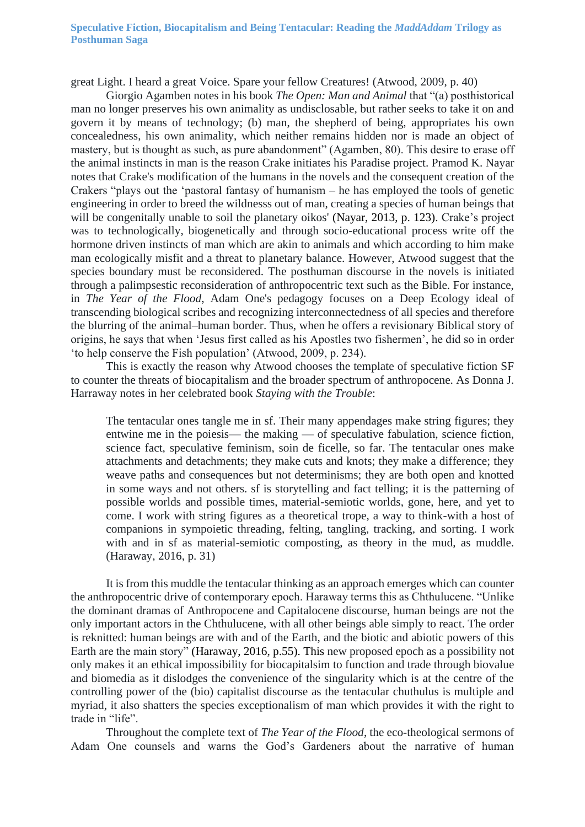#### **Speculative Fiction, Biocapitalism and Being Tentacular: Reading the** *MaddAddam* **Trilogy as Posthuman Saga**

great Light. I heard a great Voice. Spare your fellow Creatures! (Atwood, 2009, p. 40)

Giorgio Agamben notes in his book *The Open: Man and Animal* that "(a) posthistorical man no longer preserves his own animality as undisclosable, but rather seeks to take it on and govern it by means of technology; (b) man, the shepherd of being, appropriates his own concealedness, his own animality, which neither remains hidden nor is made an object of mastery, but is thought as such, as pure abandonment" (Agamben, 80). This desire to erase off the animal instincts in man is the reason Crake initiates his Paradise project. Pramod K. Nayar notes that Crake's modification of the humans in the novels and the consequent creation of the Crakers "plays out the 'pastoral fantasy of humanism – he has employed the tools of genetic engineering in order to breed the wildnesss out of man, creating a species of human beings that will be congenitally unable to soil the planetary oikos' (Nayar, 2013, p. 123). Crake's project was to technologically, biogenetically and through socio-educational process write off the hormone driven instincts of man which are akin to animals and which according to him make man ecologically misfit and a threat to planetary balance. However, Atwood suggest that the species boundary must be reconsidered. The posthuman discourse in the novels is initiated through a palimpsestic reconsideration of anthropocentric text such as the Bible. For instance, in *The Year of the Flood*, Adam One's pedagogy focuses on a Deep Ecology ideal of transcending biological scribes and recognizing interconnectedness of all species and therefore the blurring of the animal–human border. Thus, when he offers a revisionary Biblical story of origins, he says that when 'Jesus first called as his Apostles two fishermen', he did so in order 'to help conserve the Fish population' (Atwood, 2009, p. 234).

This is exactly the reason why Atwood chooses the template of speculative fiction SF to counter the threats of biocapitalism and the broader spectrum of anthropocene. As Donna J. Harraway notes in her celebrated book *Staying with the Trouble*:

The tentacular ones tangle me in sf. Their many appendages make string figures; they entwine me in the poiesis— the making — of speculative fabulation, science fiction, science fact, speculative feminism, soin de ficelle, so far. The tentacular ones make attachments and detachments; they make cuts and knots; they make a difference; they weave paths and consequences but not determinisms; they are both open and knotted in some ways and not others. sf is storytelling and fact telling; it is the patterning of possible worlds and possible times, material-semiotic worlds, gone, here, and yet to come. I work with string figures as a theoretical trope, a way to think-with a host of companions in sympoietic threading, felting, tangling, tracking, and sorting. I work with and in sf as material-semiotic composting, as theory in the mud, as muddle. (Haraway, 2016, p. 31)

It is from this muddle the tentacular thinking as an approach emerges which can counter the anthropocentric drive of contemporary epoch. Haraway terms this as Chthulucene. "Unlike the dominant dramas of Anthropocene and Capitalocene discourse, human beings are not the only important actors in the Chthulucene, with all other beings able simply to react. The order is reknitted: human beings are with and of the Earth, and the biotic and abiotic powers of this Earth are the main story" (Haraway, 2016, p.55). This new proposed epoch as a possibility not only makes it an ethical impossibility for biocapitalsim to function and trade through biovalue and biomedia as it dislodges the convenience of the singularity which is at the centre of the controlling power of the (bio) capitalist discourse as the tentacular chuthulus is multiple and myriad, it also shatters the species exceptionalism of man which provides it with the right to trade in "life".

Throughout the complete text of *The Year of the Flood*, the eco-theological sermons of Adam One counsels and warns the God's Gardeners about the narrative of human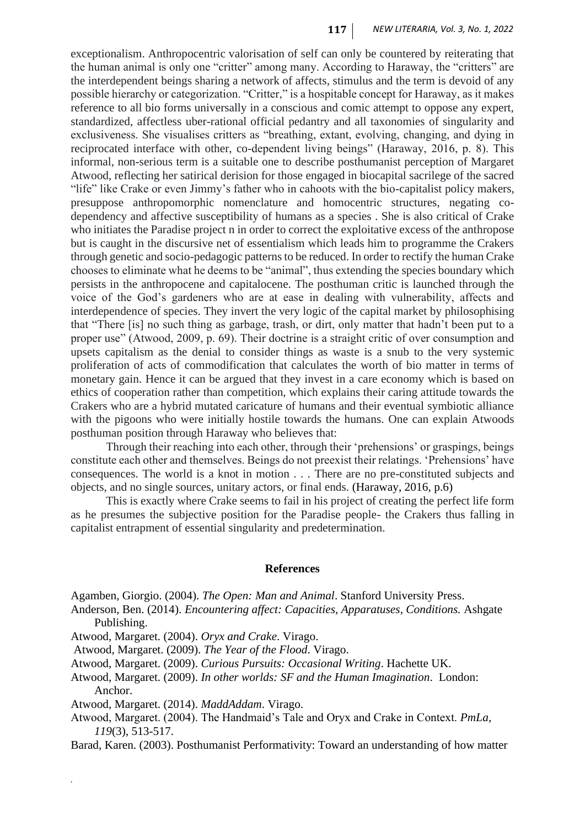exceptionalism. Anthropocentric valorisation of self can only be countered by reiterating that the human animal is only one "critter" among many. According to Haraway, the "critters" are the interdependent beings sharing a network of affects, stimulus and the term is devoid of any possible hierarchy or categorization. "Critter," is a hospitable concept for Haraway, as it makes reference to all bio forms universally in a conscious and comic attempt to oppose any expert, standardized, affectless uber-rational official pedantry and all taxonomies of singularity and exclusiveness. She visualises critters as "breathing, extant, evolving, changing, and dying in reciprocated interface with other, co-dependent living beings" (Haraway, 2016, p. 8). This informal, non-serious term is a suitable one to describe posthumanist perception of Margaret Atwood, reflecting her satirical derision for those engaged in biocapital sacrilege of the sacred "life" like Crake or even Jimmy's father who in cahoots with the bio-capitalist policy makers, presuppose anthropomorphic nomenclature and homocentric structures, negating codependency and affective susceptibility of humans as a species . She is also critical of Crake who initiates the Paradise project n in order to correct the exploitative excess of the anthropose but is caught in the discursive net of essentialism which leads him to programme the Crakers through genetic and socio-pedagogic patterns to be reduced. In order to rectify the human Crake chooses to eliminate what he deems to be "animal", thus extending the species boundary which persists in the anthropocene and capitalocene. The posthuman critic is launched through the voice of the God's gardeners who are at ease in dealing with vulnerability, affects and interdependence of species. They invert the very logic of the capital market by philosophising that "There [is] no such thing as garbage, trash, or dirt, only matter that hadn't been put to a proper use" (Atwood, 2009, p. 69). Their doctrine is a straight critic of over consumption and upsets capitalism as the denial to consider things as waste is a snub to the very systemic proliferation of acts of commodification that calculates the worth of bio matter in terms of monetary gain. Hence it can be argued that they invest in a care economy which is based on ethics of cooperation rather than competition, which explains their caring attitude towards the Crakers who are a hybrid mutated caricature of humans and their eventual symbiotic alliance with the pigoons who were initially hostile towards the humans. One can explain Atwoods posthuman position through Haraway who believes that:

Through their reaching into each other, through their 'prehensions' or graspings, beings constitute each other and themselves. Beings do not preexist their relatings. 'Prehensions' have consequences. The world is a knot in motion . . . There are no pre-constituted subjects and objects, and no single sources, unitary actors, or final ends. (Haraway, 2016, p.6)

This is exactly where Crake seems to fail in his project of creating the perfect life form as he presumes the subjective position for the Paradise people- the Crakers thus falling in capitalist entrapment of essential singularity and predetermination.

#### **References**

Agamben, Giorgio. (2004). *The Open: Man and Animal*. Stanford University Press.

- Anderson, Ben. (2014). *Encountering affect: Capacities, Apparatuses, Conditions.* Ashgate Publishing.
- Atwood, Margaret. (2004). *Oryx and Crake*. Virago.
- Atwood, Margaret. (2009). *The Year of the Flood*. Virago.
- Atwood, Margaret. (2009). *Curious Pursuits: Occasional Writing*. Hachette UK.
- Atwood, Margaret. (2009). *In other worlds: SF and the Human Imagination*. London: Anchor.
- Atwood, Margaret. (2014). *MaddAddam*. Virago.

- Atwood, Margaret. (2004). The Handmaid's Tale and Oryx and Crake in Context. *PmLa, 119*(3), 513-517.
- Barad, Karen. (2003). Posthumanist Performativity: Toward an understanding of how matter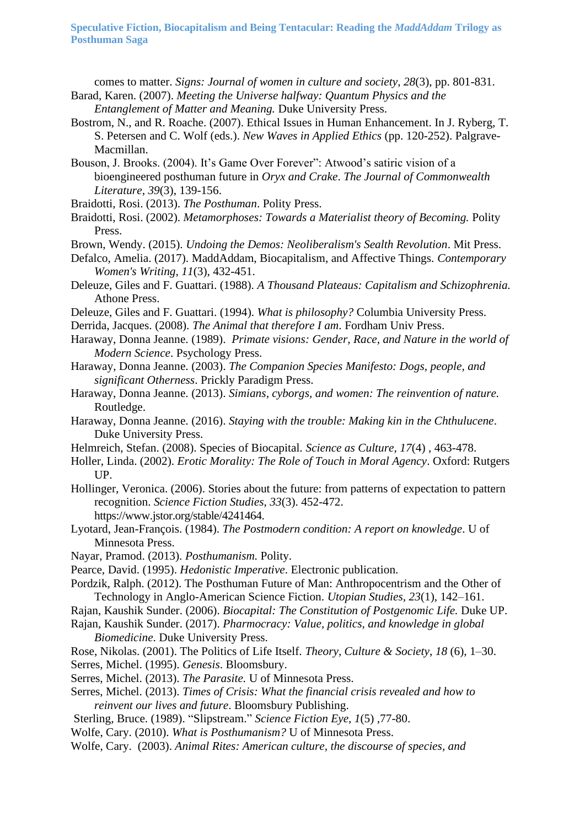**Speculative Fiction, Biocapitalism and Being Tentacular: Reading the** *MaddAddam* **Trilogy as Posthuman Saga**

comes to matter. *Signs: Journal of women in culture and society*, *28*(3), pp. 801-831. Barad, Karen. (2007). *Meeting the Universe halfway: Quantum Physics and the* 

- *Entanglement of Matter and Meaning.* Duke University Press.
- Bostrom, N., and R. Roache. (2007). Ethical Issues in Human Enhancement. In J. Ryberg, T. S. Petersen and C. Wolf (eds.). *New Waves in Applied Ethics* (pp. 120-252). Palgrave-Macmillan.
- Bouson, J. Brooks. (2004). It's Game Over Forever": Atwood's satiric vision of a bioengineered posthuman future in *Oryx and Crake*. *The Journal of Commonwealth Literature, 39*(3), 139-156.
- Braidotti, Rosi. (2013). *The Posthuman*. Polity Press.
- Braidotti, Rosi. (2002). *Metamorphoses: Towards a Materialist theory of Becoming.* Polity Press.
- Brown, Wendy. (2015). *Undoing the Demos: Neoliberalism's Sealth Revolution*. Mit Press.
- Defalco, Amelia. (2017). MaddAddam, Biocapitalism, and Affective Things. *Contemporary Women's Writing, 11*(3), 432-451.
- Deleuze, Giles and F. Guattari. (1988). *A Thousand Plateaus: Capitalism and Schizophrenia.*  Athone Press.
- Deleuze, Giles and F. Guattari. (1994). *What is philosophy?* Columbia University Press.
- Derrida, Jacques. (2008). *The Animal that therefore I am*. Fordham Univ Press.
- Haraway, Donna Jeanne. (1989). *Primate visions: Gender, Race, and Nature in the world of Modern Science*. Psychology Press.
- Haraway, Donna Jeanne. (2003). *The Companion Species Manifesto: Dogs, people, and significant Otherness*. Prickly Paradigm Press.
- Haraway, Donna Jeanne. (2013). *Simians, cyborgs, and women: The reinvention of nature.* Routledge.
- Haraway, Donna Jeanne. (2016). *Staying with the trouble: Making kin in the Chthulucene*. Duke University Press.
- Helmreich, Stefan. (2008). Species of Biocapital. *Science as Culture, 17*(4) , 463-478.
- Holler, Linda. (2002). *Erotic Morality: The Role of Touch in Moral Agency*. Oxford: Rutgers UP.
- Hollinger, Veronica. (2006). Stories about the future: from patterns of expectation to pattern recognition. *Science Fiction Studies*, *33*(3). 452-472. <https://www.jstor.org/stable/4241464.>
- Lyotard, Jean-François. (1984). *The Postmodern condition: A report on knowledge*. U of Minnesota Press.
- Nayar, Pramod. (2013). *Posthumanism.* Polity.
- Pearce, David. (1995). *Hedonistic Imperative*. Electronic publication.
- Pordzik, Ralph. (2012). The Posthuman Future of Man: Anthropocentrism and the Other of Technology in Anglo-American Science Fiction. *Utopian Studies*, *23*(1), 142–161.
- Rajan, Kaushik Sunder. (2006). *Biocapital: The Constitution of Postgenomic Life.* Duke UP.
- Rajan, Kaushik Sunder. (2017). *Pharmocracy: Value, politics, and knowledge in global Biomedicine*. Duke University Press.
- Rose, Nikolas. (2001). The Politics of Life Itself. *Theory, Culture & Society*, *18* (6), 1–30. Serres, Michel. (1995). *Genesis*. Bloomsbury.
- Serres, Michel. (2013). *The Parasite.* U of Minnesota Press.
- Serres, Michel. (2013). *Times of Crisis: What the financial crisis revealed and how to reinvent our lives and future*. Bloomsbury Publishing.
- Sterling, Bruce. (1989). "Slipstream." *Science Fiction Eye, 1*(5) ,77-80.
- Wolfe, Cary. (2010). *What is Posthumanism?* U of Minnesota Press.
- Wolfe, Cary. (2003). *Animal Rites: American culture, the discourse of species, and*